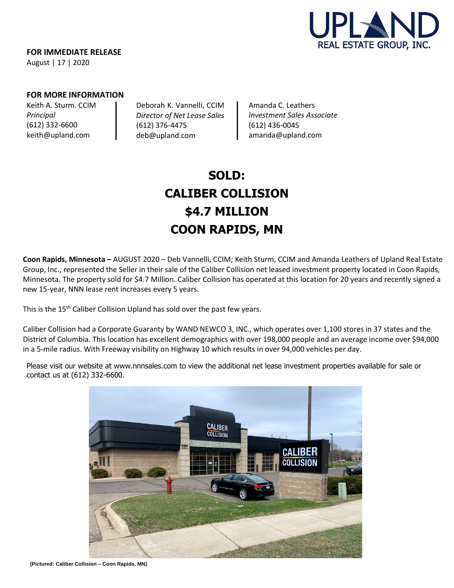

**FOR IMMEDIATE RELEASE** August | 17 | 2020

## **FOR MORE INFORMATION**

Keith A. Sturm. CCIM *Principal* (612) 332-6600 [keith@upland.com](mailto:keith@upland.com)

Deborah K. Vannelli, CCIM *Director of Net Lease Sales*  (612) 376-4475 [deb@upland.com](mailto:deb@upland.com)

Amanda C. Leathers *Investment Sales Associate*  (612) 436-0045 [amanda@upland.com](mailto:amanda@upland.com)

# **SOLD: CALIBER COLLISION \$4.7 MILLION COON RAPIDS, MN**

**Coon Rapids, Minnesota –** AUGUST 2020 – Deb Vannelli, CCIM; Keith Sturm, CCIM and Amanda Leathers of Upland Real Estate Group, Inc., represented the Seller in their sale of the Caliber Collision net leased investment property located in Coon Rapids, Minnesota. The property sold for \$4.7 Million. Caliber Collision has operated at this location for 20 years and recently signed a new 15-year, NNN lease rent increases every 5 years.

This is the 15<sup>th</sup> Caliber Collision Upland has sold over the past few years.

Caliber Collision had a Corporate Guaranty by WAND NEWCO 3, INC., which operates over 1,100 stores in 37 states and the District of Columbia. This location has excellent demographics with over 198,000 people and an average income over \$94,000 in a 5-mile radius. With Freeway visibility on Highway 10 which results in over 94,000 vehicles per day.

Please visit our website at [www.nnnsales.com](http://www.nnnsales.com/) to view the additional net lease investment properties available for sale or contact us at (612) 332-6600.